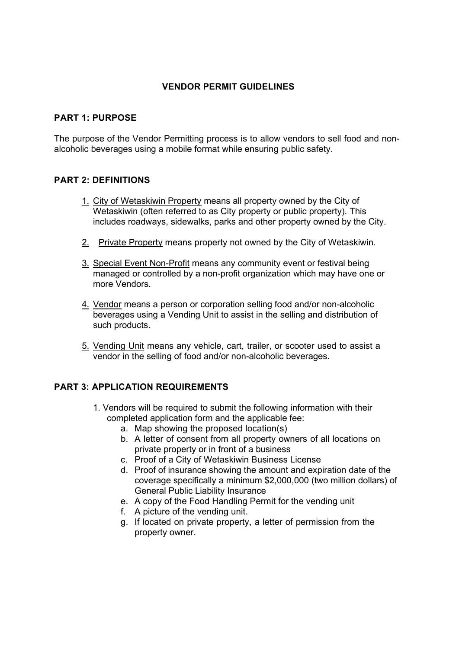# **VENDOR PERMIT GUIDELINES**

# **PART 1: PURPOSE**

The purpose of the Vendor Permitting process is to allow vendors to sell food and nonalcoholic beverages using a mobile format while ensuring public safety.

### **PART 2: DEFINITIONS**

- 1. City of Wetaskiwin Property means all property owned by the City of Wetaskiwin (often referred to as City property or public property). This includes roadways, sidewalks, parks and other property owned by the City.
- 2. Private Property means property not owned by the City of Wetaskiwin.
- 3. Special Event Non-Profit means any community event or festival being managed or controlled by a non-profit organization which may have one or more Vendors.
- 4. Vendor means a person or corporation selling food and/or non-alcoholic beverages using a Vending Unit to assist in the selling and distribution of such products.
- 5. Vending Unit means any vehicle, cart, trailer, or scooter used to assist a vendor in the selling of food and/or non-alcoholic beverages.

# **PART 3: APPLICATION REQUIREMENTS**

- 1. Vendors will be required to submit the following information with their completed application form and the applicable fee:
	- a. Map showing the proposed location(s)
	- b. A letter of consent from all property owners of all locations on private property or in front of a business
	- c. Proof of a City of Wetaskiwin Business License
	- d. Proof of insurance showing the amount and expiration date of the coverage specifically a minimum \$2,000,000 (two million dollars) of General Public Liability Insurance
	- e. A copy of the Food Handling Permit for the vending unit
	- f. A picture of the vending unit.
	- g. If located on private property, a letter of permission from the property owner.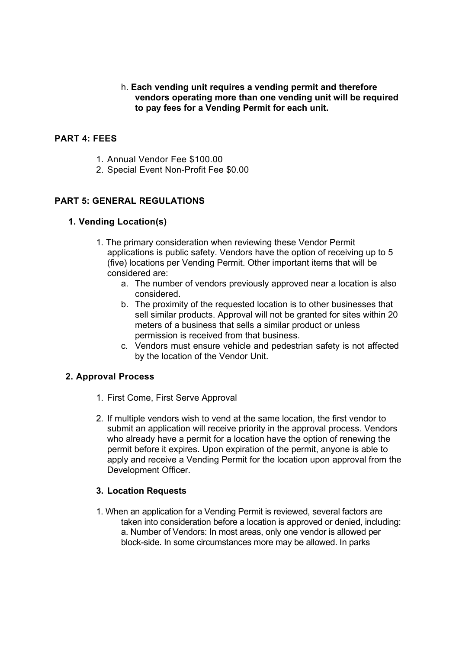## h. **Each vending unit requires a vending permit and therefore vendors operating more than one vending unit will be required to pay fees for a Vending Permit for each unit.**

## **PART 4: FEES**

- 1. Annual Vendor Fee \$100.00
- 2. Special Event Non-Profit Fee \$0.00

### **PART 5: GENERAL REGULATIONS**

#### **1. Vending Location(s)**

- 1. The primary consideration when reviewing these Vendor Permit applications is public safety. Vendors have the option of receiving up to 5 (five) locations per Vending Permit. Other important items that will be considered are:
	- a. The number of vendors previously approved near a location is also considered.
	- b. The proximity of the requested location is to other businesses that sell similar products. Approval will not be granted for sites within 20 meters of a business that sells a similar product or unless permission is received from that business.
	- c. Vendors must ensure vehicle and pedestrian safety is not affected by the location of the Vendor Unit.

#### **2. Approval Process**

- 1. First Come, First Serve Approval
- 2. If multiple vendors wish to vend at the same location, the first vendor to submit an application will receive priority in the approval process. Vendors who already have a permit for a location have the option of renewing the permit before it expires. Upon expiration of the permit, anyone is able to apply and receive a Vending Permit for the location upon approval from the Development Officer.

#### **3. Location Requests**

1. When an application for a Vending Permit is reviewed, several factors are taken into consideration before a location is approved or denied, including: a. Number of Vendors: In most areas, only one vendor is allowed per block-side. In some circumstances more may be allowed. In parks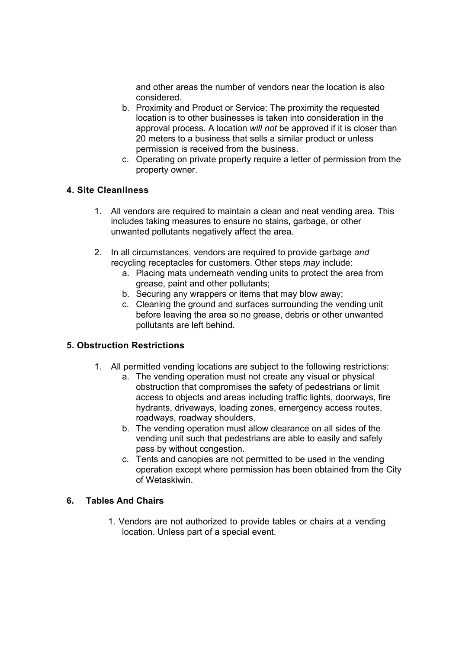and other areas the number of vendors near the location is also considered.

- b. Proximity and Product or Service: The proximity the requested location is to other businesses is taken into consideration in the approval process. A location *will not* be approved if it is closer than 20 meters to a business that sells a similar product or unless permission is received from the business.
- c. Operating on private property require a letter of permission from the property owner.

# **4. Site Cleanliness**

- 1. All vendors are required to maintain a clean and neat vending area. This includes taking measures to ensure no stains, garbage, or other unwanted pollutants negatively affect the area.
- 2. In all circumstances, vendors are required to provide garbage *and*  recycling receptacles for customers. Other steps *may* include:
	- a. Placing mats underneath vending units to protect the area from grease, paint and other pollutants;
	- b. Securing any wrappers or items that may blow away;
	- c. Cleaning the ground and surfaces surrounding the vending unit before leaving the area so no grease, debris or other unwanted pollutants are left behind.

# **5. Obstruction Restrictions**

- 1. All permitted vending locations are subject to the following restrictions:
	- a. The vending operation must not create any visual or physical obstruction that compromises the safety of pedestrians or limit access to objects and areas including traffic lights, doorways, fire hydrants, driveways, loading zones, emergency access routes, roadways, roadway shoulders.
	- b. The vending operation must allow clearance on all sides of the vending unit such that pedestrians are able to easily and safely pass by without congestion.
	- c. Tents and canopies are not permitted to be used in the vending operation except where permission has been obtained from the City of Wetaskiwin.

#### **6. Tables And Chairs**

1. Vendors are not authorized to provide tables or chairs at a vending location. Unless part of a special event.